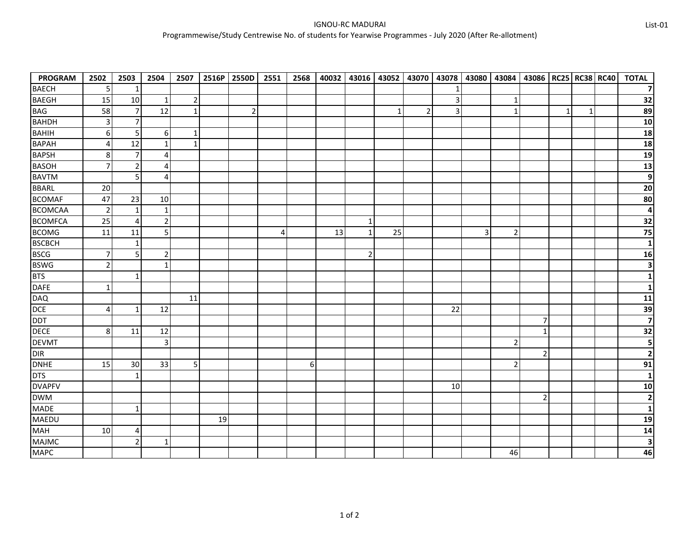| <b>PROGRAM</b> | 2502           | 2503           | 2504           | 2507           | 2516P | 2550D          | 2551 | 2568 | 40032 | 43016          | 43052        | 43070          | 43078          | 43080          | 43084          | 43086   RC25   RC38   RC40 |              |              | <b>TOTAL</b>            |
|----------------|----------------|----------------|----------------|----------------|-------|----------------|------|------|-------|----------------|--------------|----------------|----------------|----------------|----------------|----------------------------|--------------|--------------|-------------------------|
| <b>BAECH</b>   | 5              | 1              |                |                |       |                |      |      |       |                |              |                | 1              |                |                |                            |              |              | $\overline{7}$          |
| <b>BAEGH</b>   | 15             | 10             | $\mathbf{1}$   | $\overline{2}$ |       |                |      |      |       |                |              |                | $\mathbf{3}$   |                | $\mathbf{1}$   |                            |              |              | 32                      |
| <b>BAG</b>     | 58             | $\overline{7}$ | 12             | $\mathbf{1}$   |       | $\overline{2}$ |      |      |       |                | $\mathbf{1}$ | $\overline{2}$ | $\overline{3}$ |                | $\mathbf{1}$   |                            | $\mathbf{1}$ | $\mathbf{1}$ | 89                      |
| <b>BAHDH</b>   | $\mathbf{3}$   | $\overline{7}$ |                |                |       |                |      |      |       |                |              |                |                |                |                |                            |              |              | 10                      |
| <b>BAHIH</b>   | 6              | 5              | 6              | 1              |       |                |      |      |       |                |              |                |                |                |                |                            |              |              | 18                      |
| <b>BAPAH</b>   | 4              | 12             | $\mathbf{1}$   | $\mathbf{1}$   |       |                |      |      |       |                |              |                |                |                |                |                            |              |              | 18                      |
| <b>BAPSH</b>   | 8              | $\overline{7}$ | $\overline{4}$ |                |       |                |      |      |       |                |              |                |                |                |                |                            |              |              | 19                      |
| <b>BASOH</b>   | $\overline{7}$ | $\overline{2}$ | 4              |                |       |                |      |      |       |                |              |                |                |                |                |                            |              |              | 13                      |
| <b>BAVTM</b>   |                | 5              | $\overline{4}$ |                |       |                |      |      |       |                |              |                |                |                |                |                            |              |              | $\boldsymbol{9}$        |
| <b>BBARL</b>   | 20             |                |                |                |       |                |      |      |       |                |              |                |                |                |                |                            |              |              | $20\,$                  |
| <b>BCOMAF</b>  | 47             | 23             | 10             |                |       |                |      |      |       |                |              |                |                |                |                |                            |              |              | 80                      |
| <b>BCOMCAA</b> | $\overline{2}$ | $\mathbf{1}$   | $\mathbf{1}$   |                |       |                |      |      |       |                |              |                |                |                |                |                            |              |              | $\overline{\mathbf{4}}$ |
| <b>BCOMFCA</b> | 25             | $\overline{4}$ | $\overline{2}$ |                |       |                |      |      |       | $\mathbf{1}$   |              |                |                |                |                |                            |              |              | 32                      |
| <b>BCOMG</b>   | 11             | 11             | 5              |                |       |                | 4    |      | 13    | $\mathbf{1}$   | 25           |                |                | $\overline{3}$ | $\overline{2}$ |                            |              |              | 75                      |
| <b>BSCBCH</b>  |                | 1              |                |                |       |                |      |      |       |                |              |                |                |                |                |                            |              |              | $\mathbf{1}$            |
| <b>BSCG</b>    | $\overline{7}$ | 5              | $\overline{2}$ |                |       |                |      |      |       | $\overline{2}$ |              |                |                |                |                |                            |              |              | 16                      |
| <b>BSWG</b>    | $\overline{2}$ |                | $\mathbf{1}$   |                |       |                |      |      |       |                |              |                |                |                |                |                            |              |              | $\overline{\mathbf{3}}$ |
| <b>BTS</b>     |                | $\mathbf{1}$   |                |                |       |                |      |      |       |                |              |                |                |                |                |                            |              |              | $\mathbf{1}$            |
| <b>DAFE</b>    | $\mathbf{1}$   |                |                |                |       |                |      |      |       |                |              |                |                |                |                |                            |              |              | $\mathbf{1}$            |
| <b>DAQ</b>     |                |                |                | 11             |       |                |      |      |       |                |              |                |                |                |                |                            |              |              | 11                      |
| DCE            | $\overline{4}$ | $\mathbf{1}$   | 12             |                |       |                |      |      |       |                |              |                | 22             |                |                |                            |              |              | 39                      |
| DDT            |                |                |                |                |       |                |      |      |       |                |              |                |                |                |                | $\overline{7}$             |              |              | $\overline{\mathbf{z}}$ |
| <b>DECE</b>    | 8              | 11             | 12             |                |       |                |      |      |       |                |              |                |                |                |                | $\mathbf{1}$               |              |              | 32                      |
| <b>DEVMT</b>   |                |                | $\overline{3}$ |                |       |                |      |      |       |                |              |                |                |                | $\overline{2}$ |                            |              |              | 5                       |
| DIR            |                |                |                |                |       |                |      |      |       |                |              |                |                |                |                | $\overline{2}$             |              |              | $\mathbf{2}$            |
| <b>DNHE</b>    | 15             | 30             | 33             | 5              |       |                |      | 6    |       |                |              |                |                |                | $\overline{2}$ |                            |              |              | $\overline{91}$         |
| <b>DTS</b>     |                | $\mathbf{1}$   |                |                |       |                |      |      |       |                |              |                |                |                |                |                            |              |              | $\mathbf{1}$            |
| <b>DVAPFV</b>  |                |                |                |                |       |                |      |      |       |                |              |                | 10             |                |                |                            |              |              | 10                      |
| <b>DWM</b>     |                |                |                |                |       |                |      |      |       |                |              |                |                |                |                | $\overline{2}$             |              |              | $\overline{2}$          |
| <b>MADE</b>    |                | $\mathbf{1}$   |                |                |       |                |      |      |       |                |              |                |                |                |                |                            |              |              | $\mathbf{1}$            |
| MAEDU          |                |                |                |                | 19    |                |      |      |       |                |              |                |                |                |                |                            |              |              | 19                      |
| <b>MAH</b>     | 10             | 4              |                |                |       |                |      |      |       |                |              |                |                |                |                |                            |              |              | 14                      |
| <b>MAJMC</b>   |                | $\overline{2}$ | 1              |                |       |                |      |      |       |                |              |                |                |                |                |                            |              |              | 3                       |
| <b>MAPC</b>    |                |                |                |                |       |                |      |      |       |                |              |                |                |                | 46             |                            |              |              | 46                      |